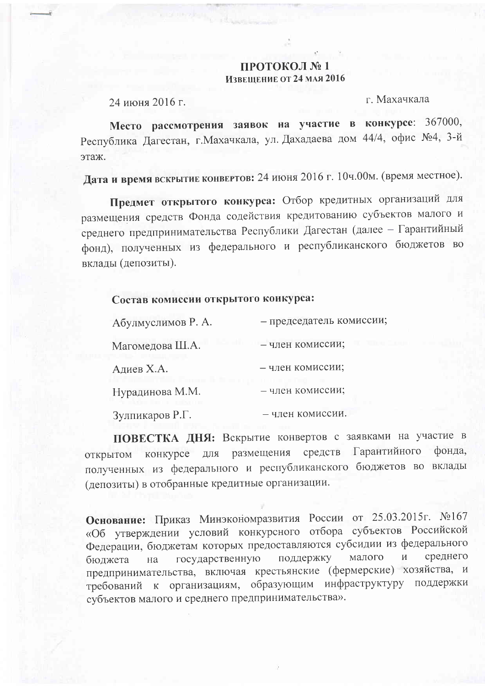## ПРОТОКОЛ №1 Извещение от 24 мля 2016

24 июня 2016 г.

г. Махачкала

Место рассмотрения заявок на участие в конкурсе: 367000, Республика Дагестан, г. Махачкала, ул. Дахадаева дом 44/4, офис №4, 3-й этаж.

Дата и время вскрытие конвертов: 24 июня 2016 г. 10ч.00м. (время местное).

Предмет открытого конкурса: Отбор кредитных организаций для размещения средств Фонда содействия кредитованию субъектов малого и среднего предпринимательства Республики Дагестан (далее - Гарантийный фонд), полученных из федерального и республиканского бюджетов во вклалы (депозиты).

## Состав комиссии открытого конкурса:

| Абулмуслимов Р. А.                         | - председатель комиссии; |  |
|--------------------------------------------|--------------------------|--|
| Магомедова Ш.А.                            | - член комиссии;         |  |
| Адиев Х.А.                                 | - член комиссии;         |  |
| Нурадинова М.М.<br>Andre Berlin – Infantie | - член комиссии;         |  |
| Зулпикаров Р.Г.                            | - член комиссии.         |  |

ПОВЕСТКА ДНЯ: Вскрытие конвертов с заявками на участие в конкурсе для размещения средств Гарантийного фонда. **ОТКРЫТОМ** полученных из федерального и республиканского бюджетов во вклады (депозиты) в отобранные кредитные организации.

Основание: Приказ Минэкономразвития России от 25.03.2015г. №167 «Об утверждении условий конкурсного отбора субъектов Российской Федерации, бюджетам которых предоставляются субсидии из федерального поддержку малого  $\mathbf{M}$ среднего государственную бюджета на предпринимательства, включая крестьянские (фермерские) хозяйства, и требований к организациям, образующим инфраструктуру поддержки субъектов малого и среднего предпринимательства».